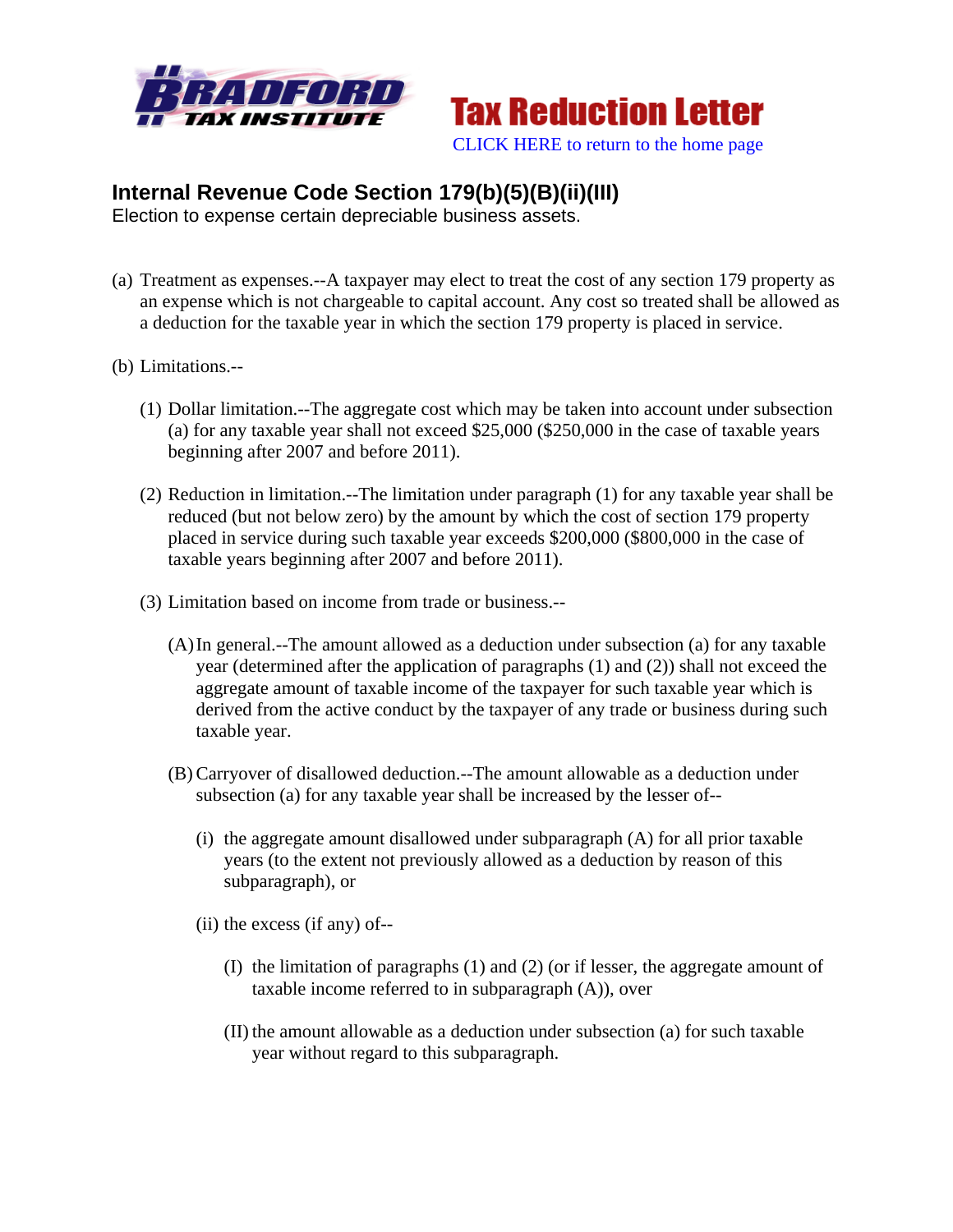



## **Internal Revenue Code Section 179(b)(5)(B)(ii)(III)**

Election to expense certain depreciable business assets.

- (a) Treatment as expenses.--A taxpayer may elect to treat the cost of any section 179 property as an expense which is not chargeable to capital account. Any cost so treated shall be allowed as a deduction for the taxable year in which the section 179 property is placed in service.
- (b) Limitations.--
	- (1) Dollar limitation.--The aggregate cost which may be taken into account under subsection (a) for any taxable year shall not exceed \$25,000 (\$250,000 in the case of taxable years beginning after 2007 and before 2011).
	- (2) Reduction in limitation.--The limitation under paragraph (1) for any taxable year shall be reduced (but not below zero) by the amount by which the cost of section 179 property placed in service during such taxable year exceeds \$200,000 (\$800,000 in the case of taxable years beginning after 2007 and before 2011).
	- (3) Limitation based on income from trade or business.--
		- (A)In general.--The amount allowed as a deduction under subsection (a) for any taxable year (determined after the application of paragraphs (1) and (2)) shall not exceed the aggregate amount of taxable income of the taxpayer for such taxable year which is derived from the active conduct by the taxpayer of any trade or business during such taxable year.
		- (B) Carryover of disallowed deduction.--The amount allowable as a deduction under subsection (a) for any taxable year shall be increased by the lesser of--
			- (i) the aggregate amount disallowed under subparagraph (A) for all prior taxable years (to the extent not previously allowed as a deduction by reason of this subparagraph), or
			- (ii) the excess (if any) of--
				- (I) the limitation of paragraphs (1) and (2) (or if lesser, the aggregate amount of taxable income referred to in subparagraph (A)), over
				- (II) the amount allowable as a deduction under subsection (a) for such taxable year without regard to this subparagraph.